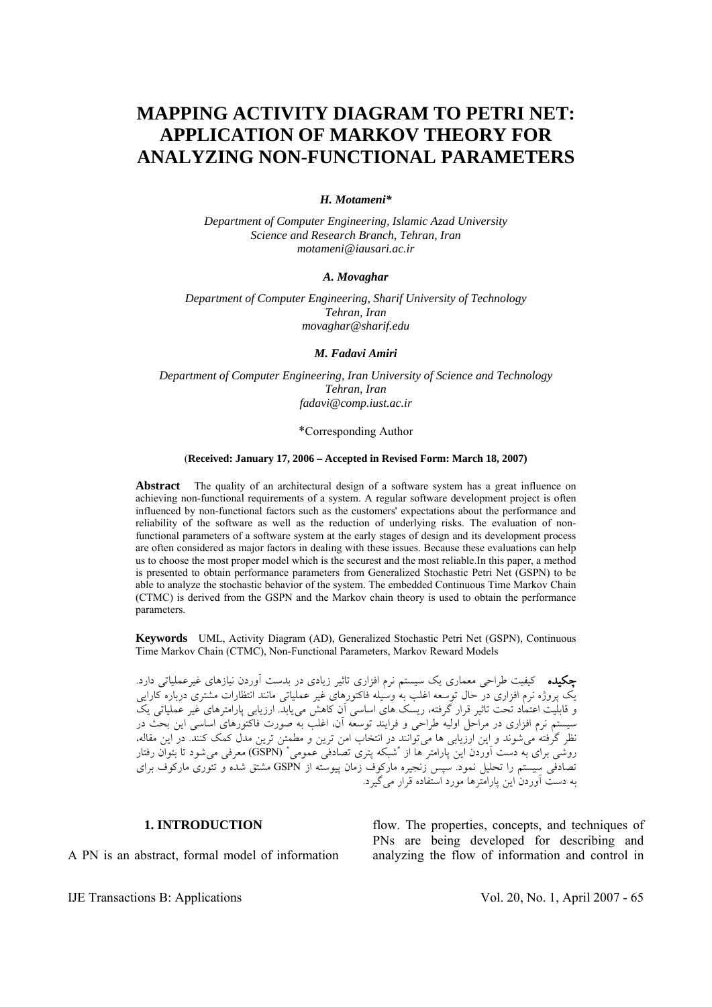# **MAPPING ACTIVITY DIAGRAM TO PETRI NET: APPLICATION OF MARKOV THEORY FOR ANALYZING NON-FUNCTIONAL PARAMETERS**

### *H. Motameni\**

*Department of Computer Engineering, Islamic Azad University Science and Research Branch, Tehran, Iran motameni@iausari.ac.ir* 

## *A. Movaghar*

*Department of Computer Engineering, Sharif University of Technology Tehran, Iran movaghar@sharif.edu* 

#### *M. Fadavi Amiri*

*Department of Computer Engineering, Iran University of Science and Technology Tehran, Iran fadavi@comp.iust.ac.ir* 

#### \*Corresponding Author

## (**Received: January 17, 2006 – Accepted in Revised Form: March 18, 2007)**

**Abstract** The quality of an architectural design of a software system has a great influence on achieving non-functional requirements of a system. A regular software development project is often influenced by non-functional factors such as the customers' expectations about the performance and reliability of the software as well as the reduction of underlying risks. The evaluation of nonfunctional parameters of a software system at the early stages of design and its development process are often considered as major factors in dealing with these issues. Because these evaluations can help us to choose the most proper model which is the securest and the most reliable.In this paper, a method is presented to obtain performance parameters from Generalized Stochastic Petri Net (GSPN) to be able to analyze the stochastic behavior of the system. The embedded Continuous Time Markov Chain (CTMC) is derived from the GSPN and the Markov chain theory is used to obtain the performance parameters.

**Keywords** UML, Activity Diagram (AD), Generalized Stochastic Petri Net (GSPN), Continuous Time Markov Chain (CTMC), Non-Functional Parameters, Markov Reward Models

چكيده کيفيت طراحی معماری يک سيستم نرم افزاری تاثير زيادی در بدست آوردن نيازهای غيرعملياتی دارد. يک پروژه نرم افزاری در حال توسعه اغلب به وسيله فاکتورهای غير عملياتی مانند انتظارات مشتری درباره کارايی و قابليت اعتماد تحت تاثير قرار گرفته، ريسک های اساسی آن کاهش میيابد. ارزيابی پارامترهای غير عملياتی يک سيستم نرم افزاری در مراحل اوليه طراحی و فرايند توسعه آن، اغلب به صورت فاکتورهای اساسی اين بحث در نظر گرفته میشوند و اين ارزيابی ها میتوانند در انتخاب امن ترين و مطمئن ترين مدل کمک کنند. در اين مقاله، روشی برای به دست آوردن اين پارامتر ها از "شبکه پتری تصادفی عمومی" (GSPN (معرفی میشود تا بتوان رفتار تصادفی سيستم را تحليل نمود. سپس زنجيره مارکوف زمان پيوسته از GSPN مشتق شده و تئوری مارکوف برای به دست آوردن اين پارامترها مورد استفاده قرار میگيرد.

## **1. INTRODUCTION**

A PN is an abstract, formal model of information

flow. The properties, concepts, and techniques of PNs are being developed for describing and analyzing the flow of information and control in

IJE Transactions B: Applications Vol. 20, No. 1, April 2007 - 65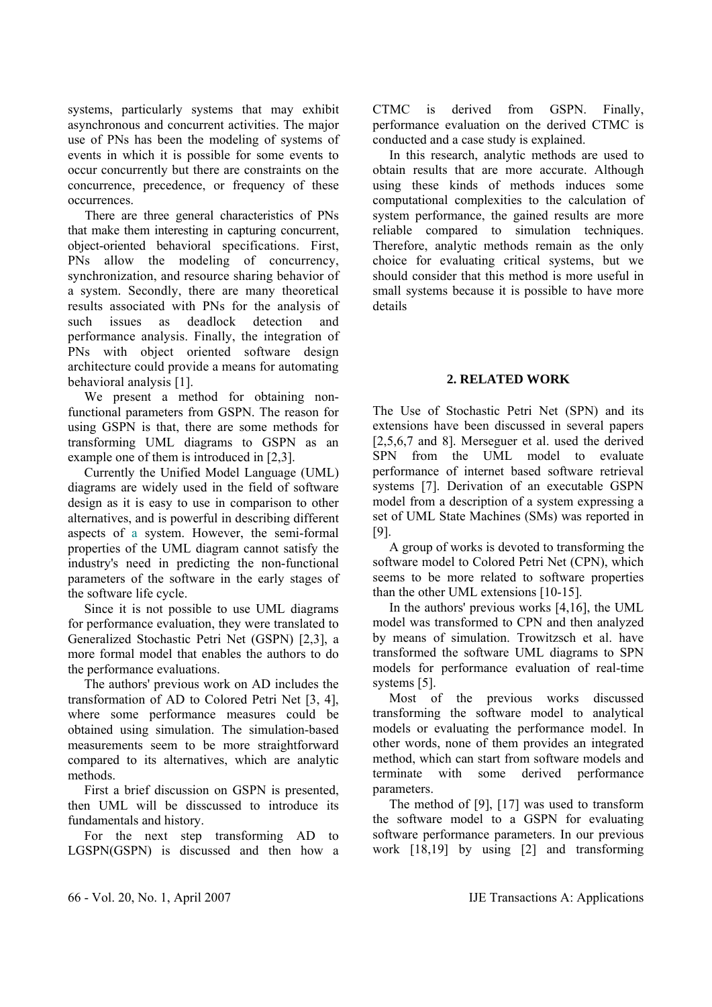systems, particularly systems that may exhibit asynchronous and concurrent activities. The major use of PNs has been the modeling of systems of events in which it is possible for some events to occur concurrently but there are constraints on the concurrence, precedence, or frequency of these occurrences.

 There are three general characteristics of PNs that make them interesting in capturing concurrent, object-oriented behavioral specifications. First, PNs allow the modeling of concurrency, synchronization, and resource sharing behavior of a system. Secondly, there are many theoretical results associated with PNs for the analysis of such issues as deadlock detection and performance analysis. Finally, the integration of PNs with object oriented software design architecture could provide a means for automating behavioral analysis [1].

 We present a method for obtaining nonfunctional parameters from GSPN. The reason for using GSPN is that, there are some methods for transforming UML diagrams to GSPN as an example one of them is introduced in [2,3].

 Currently the Unified Model Language (UML) diagrams are widely used in the field of software design as it is easy to use in comparison to other alternatives, and is powerful in describing different aspects of a system. However, the semi-formal properties of the UML diagram cannot satisfy the industry's need in predicting the non-functional parameters of the software in the early stages of the software life cycle.

 Since it is not possible to use UML diagrams for performance evaluation, they were translated to Generalized Stochastic Petri Net (GSPN) [2,3], a more formal model that enables the authors to do the performance evaluations.

 The authors' previous work on AD includes the transformation of AD to Colored Petri Net [3, 4], where some performance measures could be obtained using simulation. The simulation-based measurements seem to be more straightforward compared to its alternatives, which are analytic methods.

 First a brief discussion on GSPN is presented, then UML will be disscussed to introduce its fundamentals and history.

 For the next step transforming AD to LGSPN(GSPN) is discussed and then how a CTMC is derived from GSPN. Finally, performance evaluation on the derived CTMC is conducted and a case study is explained.

 In this research, analytic methods are used to obtain results that are more accurate. Although using these kinds of methods induces some computational complexities to the calculation of system performance, the gained results are more reliable compared to simulation techniques. Therefore, analytic methods remain as the only choice for evaluating critical systems, but we should consider that this method is more useful in small systems because it is possible to have more details

# **2. RELATED WORK**

The Use of Stochastic Petri Net (SPN) and its extensions have been discussed in several papers [2,5,6,7 and 8]. Merseguer et al. used the derived SPN from the UML model to evaluate performance of internet based software retrieval systems [7]. Derivation of an executable GSPN model from a description of a system expressing a set of UML State Machines (SMs) was reported in [9].

 A group of works is devoted to transforming the software model to Colored Petri Net (CPN), which seems to be more related to software properties than the other UML extensions [10-15].

 In the authors' previous works [4,16], the UML model was transformed to CPN and then analyzed by means of simulation. Trowitzsch et al. have transformed the software UML diagrams to SPN models for performance evaluation of real-time systems [5].

 Most of the previous works discussed transforming the software model to analytical models or evaluating the performance model. In other words, none of them provides an integrated method, which can start from software models and terminate with some derived performance parameters.

 The method of [9], [17] was used to transform the software model to a GSPN for evaluating software performance parameters. In our previous work [18,19] by using [2] and transforming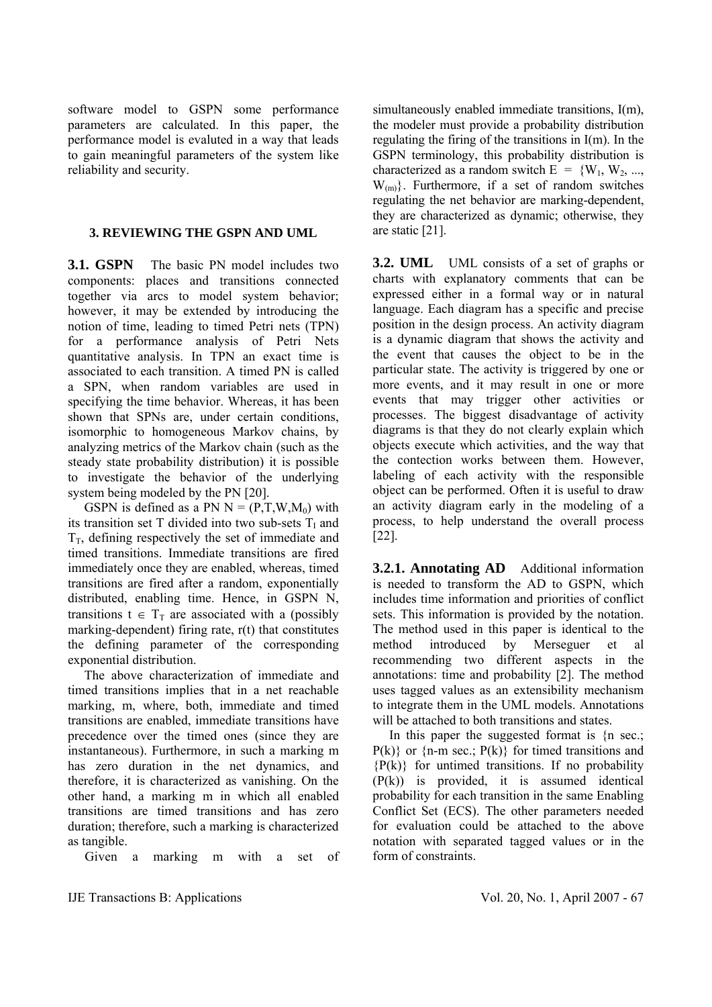software model to GSPN some performance parameters are calculated. In this paper, the performance model is evaluted in a way that leads to gain meaningful parameters of the system like reliability and security.

# **3. REVIEWING THE GSPN AND UML**

**3.1. GSPN** The basic PN model includes two components: places and transitions connected together via arcs to model system behavior; however, it may be extended by introducing the notion of time, leading to timed Petri nets (TPN) for a performance analysis of Petri Nets quantitative analysis. In TPN an exact time is associated to each transition. A timed PN is called a SPN, when random variables are used in specifying the time behavior. Whereas, it has been shown that SPNs are, under certain conditions, isomorphic to homogeneous Markov chains, by analyzing metrics of the Markov chain (such as the steady state probability distribution) it is possible to investigate the behavior of the underlying system being modeled by the PN [20].

GSPN is defined as a PN  $N = (P, T, W, M_0)$  with its transition set T divided into two sub-sets  $T<sub>I</sub>$  and  $T<sub>T</sub>$ , defining respectively the set of immediate and timed transitions. Immediate transitions are fired immediately once they are enabled, whereas, timed transitions are fired after a random, exponentially distributed, enabling time. Hence, in GSPN N, transitions  $t \in T_T$  are associated with a (possibly marking-dependent) firing rate, r(t) that constitutes the defining parameter of the corresponding exponential distribution.

 The above characterization of immediate and timed transitions implies that in a net reachable marking, m, where, both, immediate and timed transitions are enabled, immediate transitions have precedence over the timed ones (since they are instantaneous). Furthermore, in such a marking m has zero duration in the net dynamics, and therefore, it is characterized as vanishing. On the other hand, a marking m in which all enabled transitions are timed transitions and has zero duration; therefore, such a marking is characterized as tangible.

Given a marking m with a set of

simultaneously enabled immediate transitions, I(m), the modeler must provide a probability distribution regulating the firing of the transitions in I(m). In the GSPN terminology, this probability distribution is characterized as a random switch  $E = \{W_1, W_2, \ldots, W_n\}$  $W_{(m)}$ . Furthermore, if a set of random switches regulating the net behavior are marking-dependent, they are characterized as dynamic; otherwise, they are static [21].

**3.2. UML** UML consists of a set of graphs or charts with explanatory comments that can be expressed either in a formal way or in natural language. Each diagram has a specific and precise position in the design process. An activity diagram is a dynamic diagram that shows the activity and the event that causes the object to be in the particular state. The activity is triggered by one or more events, and it may result in one or more events that may trigger other activities or processes. The biggest disadvantage of activity diagrams is that they do not clearly explain which objects execute which activities, and the way that the contection works between them. However, labeling of each activity with the responsible object can be performed. Often it is useful to draw an activity diagram early in the modeling of a process, to help understand the overall process [22].

**3.2.1. Annotating AD** Additional information is needed to transform the AD to GSPN, which includes time information and priorities of conflict sets. This information is provided by the notation. The method used in this paper is identical to the method introduced by Merseguer et al recommending two different aspects in the annotations: time and probability [2]. The method uses tagged values as an extensibility mechanism to integrate them in the UML models. Annotations will be attached to both transitions and states.

 In this paper the suggested format is {n sec.;  $P(k)$ } or {n-m sec.;  $P(k)$ } for timed transitions and  ${P(k)}$  for untimed transitions. If no probability (P(k)) is provided, it is assumed identical probability for each transition in the same Enabling Conflict Set (ECS). The other parameters needed for evaluation could be attached to the above notation with separated tagged values or in the form of constraints.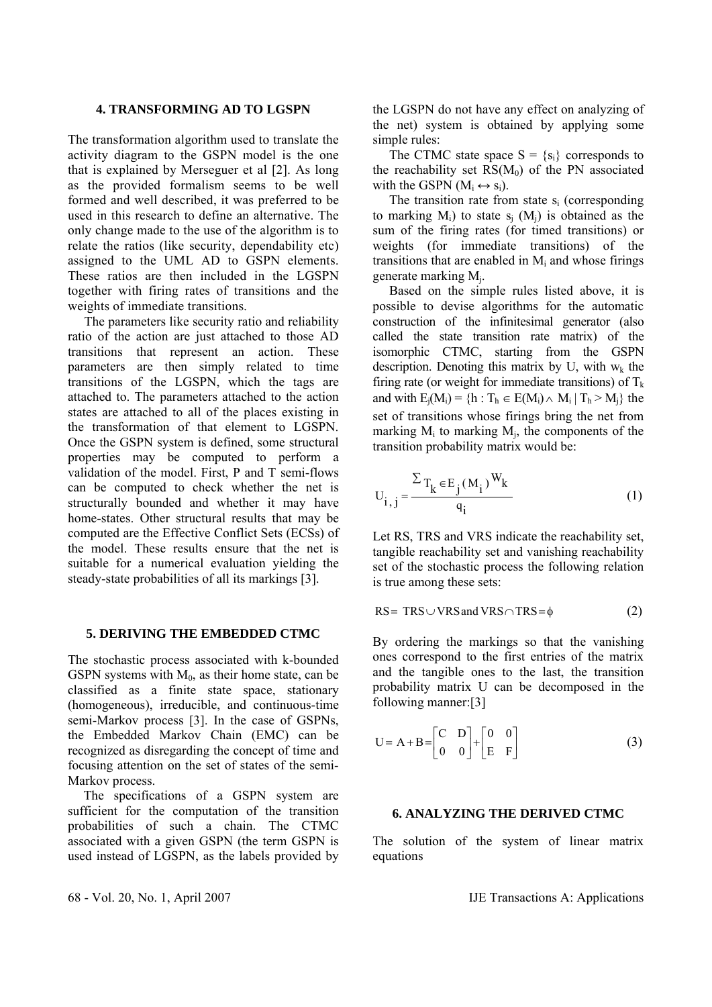## **4. TRANSFORMING AD TO LGSPN**

The transformation algorithm used to translate the activity diagram to the GSPN model is the one that is explained by Merseguer et al [2]. As long as the provided formalism seems to be well formed and well described, it was preferred to be used in this research to define an alternative. The only change made to the use of the algorithm is to relate the ratios (like security, dependability etc) assigned to the UML AD to GSPN elements. These ratios are then included in the LGSPN together with firing rates of transitions and the weights of immediate transitions.

 The parameters like security ratio and reliability ratio of the action are just attached to those AD transitions that represent an action. These parameters are then simply related to time transitions of the LGSPN, which the tags are attached to. The parameters attached to the action states are attached to all of the places existing in the transformation of that element to LGSPN. Once the GSPN system is defined, some structural properties may be computed to perform a validation of the model. First, P and T semi-flows can be computed to check whether the net is structurally bounded and whether it may have home-states. Other structural results that may be computed are the Effective Conflict Sets (ECSs) of the model. These results ensure that the net is suitable for a numerical evaluation yielding the steady-state probabilities of all its markings [3].

## **5. DERIVING THE EMBEDDED CTMC**

The stochastic process associated with k-bounded GSPN systems with  $M_0$ , as their home state, can be classified as a finite state space, stationary (homogeneous), irreducible, and continuous-time semi-Markov process [3]. In the case of GSPNs, the Embedded Markov Chain (EMC) can be recognized as disregarding the concept of time and focusing attention on the set of states of the semi-Markov process.

 The specifications of a GSPN system are sufficient for the computation of the transition probabilities of such a chain. The CTMC associated with a given GSPN (the term GSPN is used instead of LGSPN, as the labels provided by the LGSPN do not have any effect on analyzing of the net) system is obtained by applying some simple rules:

The CTMC state space  $S = \{s_i\}$  corresponds to the reachability set  $\text{RS}(M_0)$  of the PN associated with the GSPN  $(M_i \leftrightarrow s_i)$ .

The transition rate from state  $s_i$  (corresponding to marking  $M_i$ ) to state  $s_i$  ( $M_i$ ) is obtained as the sum of the firing rates (for timed transitions) or weights (for immediate transitions) of the transitions that are enabled in  $M_i$  and whose firings generate marking Mj.

 Based on the simple rules listed above, it is possible to devise algorithms for the automatic construction of the infinitesimal generator (also called the state transition rate matrix) of the isomorphic CTMC, starting from the GSPN description. Denoting this matrix by U, with  $w_k$  the firing rate (or weight for immediate transitions) of  $T_k$ and with  $E_i(M_i) = \{h : T_h \in E(M_i) \wedge M_i \mid T_h > M_i\}$  the set of transitions whose firings bring the net from marking  $M_i$  to marking  $M_i$ , the components of the transition probability matrix would be:

$$
U_{i,j} = \frac{\sum T_k \in E_j(M_i)^W k}{q_i}
$$
 (1)

Let RS, TRS and VRS indicate the reachability set, tangible reachability set and vanishing reachability set of the stochastic process the following relation is true among these sets:

$$
RS = TRS \cup VRS \text{ and } VRS \cap TRS = \phi
$$
 (2)

By ordering the markings so that the vanishing ones correspond to the first entries of the matrix and the tangible ones to the last, the transition probability matrix U can be decomposed in the following manner:[3]

$$
U = A + B = \begin{bmatrix} C & D \\ 0 & 0 \end{bmatrix} + \begin{bmatrix} 0 & 0 \\ E & F \end{bmatrix}
$$
 (3)

# **6. ANALYZING THE DERIVED CTMC**

The solution of the system of linear matrix equations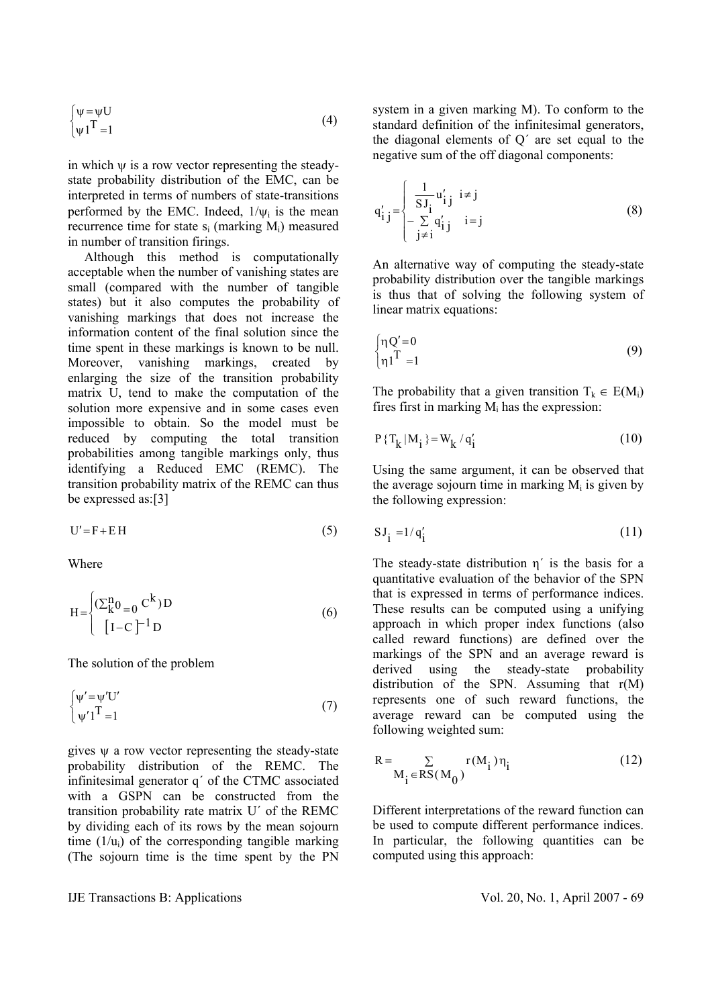$$
\begin{cases} \psi = \psi U \\ \psi I^T = 1 \end{cases} \tag{4}
$$

in which  $\psi$  is a row vector representing the steadystate probability distribution of the EMC, can be interpreted in terms of numbers of state-transitions performed by the EMC. Indeed,  $1/\psi_i$  is the mean recurrence time for state  $s_i$  (marking  $M_i$ ) measured in number of transition firings.

 Although this method is computationally acceptable when the number of vanishing states are small (compared with the number of tangible states) but it also computes the probability of vanishing markings that does not increase the information content of the final solution since the time spent in these markings is known to be null. Moreover, vanishing markings, created by enlarging the size of the transition probability matrix U, tend to make the computation of the solution more expensive and in some cases even impossible to obtain. So the model must be reduced by computing the total transition probabilities among tangible markings only, thus identifying a Reduced EMC (REMC). The transition probability matrix of the REMC can thus be expressed as:[3]

$$
U' = F + EH \tag{5}
$$

Where

$$
H = \begin{cases} (\sum_{k=0}^{n} C^{k})D \\ [I-C]^{-1}D \end{cases}
$$
 (6)

The solution of the problem

$$
\begin{cases} \psi' = \psi' U' \\ \psi' I^T = 1 \end{cases} \tag{7}
$$

gives  $\psi$  a row vector representing the steady-state probability distribution of the REMC. The infinitesimal generator q´ of the CTMC associated with a GSPN can be constructed from the transition probability rate matrix U´ of the REMC by dividing each of its rows by the mean sojourn time  $(1/u_i)$  of the corresponding tangible marking (The sojourn time is the time spent by the PN system in a given marking M). To conform to the standard definition of the infinitesimal generators, the diagonal elements of Q´ are set equal to the negative sum of the off diagonal components:

$$
q'_{i j} = \begin{cases} \frac{1}{S J_i} u'_{i j} & i \neq j \\ -\sum_{j \neq i} q'_{i j} & i = j \end{cases}
$$
 (8)

An alternative way of computing the steady-state probability distribution over the tangible markings is thus that of solving the following system of linear matrix equations:

$$
\begin{cases} \eta Q' = 0 \\ \eta 1^{\mathrm{T}} = 1 \end{cases} \tag{9}
$$

The probability that a given transition  $T_k \in E(M_i)$ fires first in marking  $M_i$  has the expression:

$$
P\{T_k | M_i\} = W_k / q'_i \tag{10}
$$

Using the same argument, it can be observed that the average sojourn time in marking  $M_i$  is given by the following expression:

$$
SJ_i = 1/q'_i \tag{11}
$$

The steady-state distribution  $\eta'$  is the basis for a quantitative evaluation of the behavior of the SPN that is expressed in terms of performance indices. These results can be computed using a unifying approach in which proper index functions (also called reward functions) are defined over the markings of the SPN and an average reward is derived using the steady-state probability distribution of the SPN. Assuming that r(M) represents one of such reward functions, the average reward can be computed using the following weighted sum:

$$
R = \sum_{M_i \in RS(M_0)} r(M_i) \eta_i
$$
 (12)

Different interpretations of the reward function can be used to compute different performance indices. In particular, the following quantities can be computed using this approach: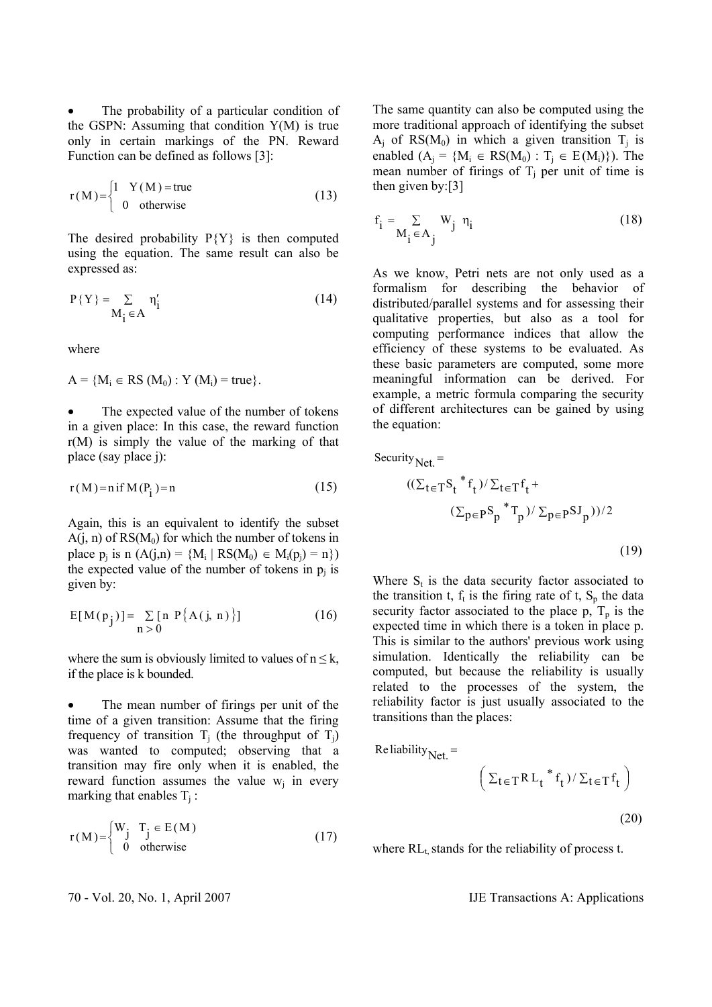The probability of a particular condition of the GSPN: Assuming that condition Y(M) is true only in certain markings of the PN. Reward Function can be defined as follows [3]:

$$
r(M) = \begin{cases} 1 & Y(M) = true \\ 0 & otherwise \end{cases}
$$
 (13)

The desired probability  $P{Y}$  is then computed using the equation. The same result can also be expressed as:

$$
P\{Y\} = \sum_{M_i \in A} \eta'_i
$$
 (14)

where

 $A = {M_i \in RS (M_0) : Y (M_i) = true}.$ 

The expected value of the number of tokens in a given place: In this case, the reward function r(M) is simply the value of the marking of that place (say place j):

$$
r(M) = n \text{ if } M(P_i) = n \tag{15}
$$

Again, this is an equivalent to identify the subset  $A(i, n)$  of  $RS(M_0)$  for which the number of tokens in place  $p_j$  is  $n(A(j,n) = {M_i | RS(M_0) \in M_i(p_j) = n})$ the expected value of the number of tokens in  $p_i$  is given by:

$$
E[M(p_j)] = \sum_{n>0} [n P\{A(j, n)\}]
$$
 (16)

where the sum is obviously limited to values of  $n \leq k$ , if the place is k bounded.

The mean number of firings per unit of the time of a given transition: Assume that the firing frequency of transition  $T_i$  (the throughput of  $T_i$ ) was wanted to computed; observing that a transition may fire only when it is enabled, the reward function assumes the value  $w_i$  in every marking that enables  $T_i$ :

$$
r(M) = \begin{cases} W_j & T_j \in E(M) \\ 0 & \text{otherwise} \end{cases}
$$
 (17)

The same quantity can also be computed using the more traditional approach of identifying the subset  $A_i$  of RS( $M_0$ ) in which a given transition  $T_j$  is enabled  $(A_i = {M_i \in RS(M_0) : T_i \in E(M_i)}).$  The mean number of firings of  $T_i$  per unit of time is then given by:[3]

$$
f_i = \sum_{M_i \in A_j} W_j \eta_i
$$
 (18)

As we know, Petri nets are not only used as a formalism for describing the behavior of distributed/parallel systems and for assessing their qualitative properties, but also as a tool for computing performance indices that allow the efficiency of these systems to be evaluated. As these basic parameters are computed, some more meaningful information can be derived. For example, a metric formula comparing the security of different architectures can be gained by using the equation:

Security<sub>Net</sub> =  
\n
$$
((\Sigma_{t \in T} S_t * f_t) / \Sigma_{t \in T} f_t + (\Sigma_{p \in P} S_p * T_p) / \Sigma_{p \in P} S J_p)) / 2
$$
\n(19)

Where  $S_t$  is the data security factor associated to the transition t,  $f_t$  is the firing rate of t,  $S_p$  the data security factor associated to the place  $p$ ,  $T_p$  is the expected time in which there is a token in place p. This is similar to the authors' previous work using simulation. Identically the reliability can be computed, but because the reliability is usually related to the processes of the system, the reliability factor is just usually associated to the transitions than the places:

$$
Re\,liability_{Net.} =
$$

$$
\left(\Sigma_{t\in T} R L_t * f_t) / \Sigma_{t\in T} f_t\right)
$$

where  $RL<sub>t</sub>$  stands for the reliability of process t.

(20)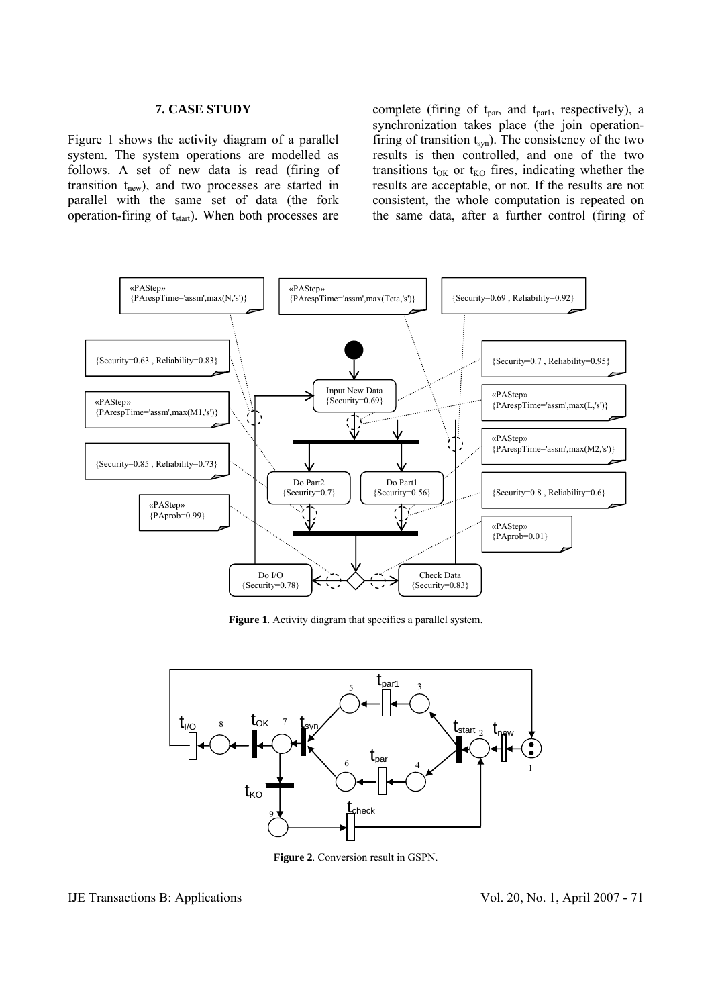## **7. CASE STUDY**

Figure 1 shows the activity diagram of a parallel system. The system operations are modelled as follows. A set of new data is read (firing of transition  $t_{new}$ ), and two processes are started in parallel with the same set of data (the fork operation-firing of  $t<sub>start</sub>$ ). When both processes are

complete (firing of  $t_{par}$ , and  $t_{par1}$ , respectively), a synchronization takes place (the join operationfiring of transition  $t_{syn}$ ). The consistency of the two results is then controlled, and one of the two transitions  $t_{OK}$  or  $t_{KO}$  fires, indicating whether the results are acceptable, or not. If the results are not consistent, the whole computation is repeated on the same data, after a further control (firing of



**Figure 1**. Activity diagram that specifies a parallel system.



**Figure 2**. Conversion result in GSPN.

# IJE Transactions B: Applications Vol. 20, No. 1, April 2007 - 71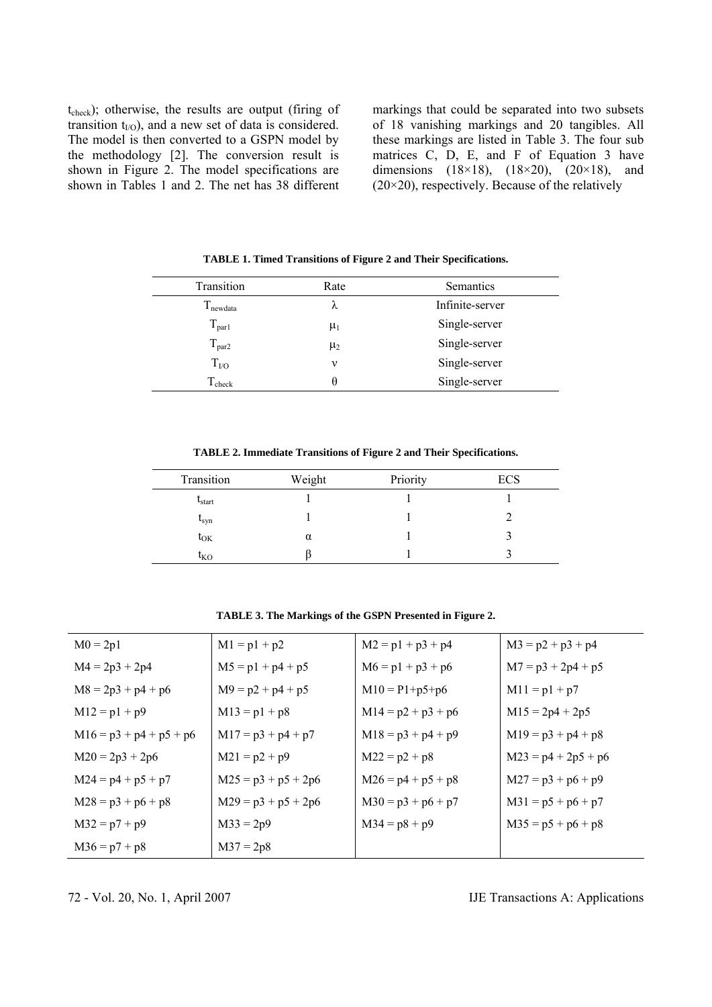t<sub>check</sub>); otherwise, the results are output (firing of transition  $t_{I/O}$ ), and a new set of data is considered. The model is then converted to a GSPN model by the methodology [2]. The conversion result is shown in Figure 2. The model specifications are shown in Tables 1 and 2. The net has 38 different

markings that could be separated into two subsets of 18 vanishing markings and 20 tangibles. All these markings are listed in Table 3. The four sub matrices C, D, E, and F of Equation 3 have dimensions (18×18), (18×20), (20×18), and  $(20\times20)$ , respectively. Because of the relatively

| Transition        | Rate    | Semantics       |
|-------------------|---------|-----------------|
| $T_{newdata}$     | λ       | Infinite-server |
| $T_{par1}$        | $\mu_1$ | Single-server   |
| $T_{\text{par2}}$ | $\mu_2$ | Single-server   |
| $T_{\rm UO}$      | ν       | Single-server   |
| $T_{\rm check}$   | θ       | Single-server   |

**TABLE 1. Timed Transitions of Figure 2 and Their Specifications.** 

**TABLE 2. Immediate Transitions of Figure 2 and Their Specifications.** 

| Transition   | Weight   | Priority | <b>ECS</b> |
|--------------|----------|----------|------------|
| $t_{start}$  |          |          |            |
| $t_{syn}$    |          |          |            |
| $t_{OK}$     | $\alpha$ |          |            |
| $t_{\rm KO}$ |          |          |            |

**TABLE 3. The Markings of the GSPN Presented in Figure 2.** 

| $M0 = 2p1$                | $M1 = p1 + p2$        | $M2 = p1 + p3 + p4$  | $M3 = p2 + p3 + p4$   |
|---------------------------|-----------------------|----------------------|-----------------------|
| $M4 = 2p3 + 2p4$          | $M5 = p1 + p4 + p5$   | $M6 = p1 + p3 + p6$  | $M7 = p3 + 2p4 + p5$  |
| $M8 = 2p3 + p4 + p6$      | $M9 = p2 + p4 + p5$   | $M10 = P1+p5+p6$     | $M11 = p1 + p7$       |
| $M12 = p1 + p9$           | $M13 = p1 + p8$       | $M14 = p2 + p3 + p6$ | $M15 = 2p4 + 2p5$     |
| $M16 = p3 + p4 + p5 + p6$ | $M17 = p3 + p4 + p7$  | $M18 = p3 + p4 + p9$ | $M19 = p3 + p4 + p8$  |
| $M20 = 2p3 + 2p6$         | $M21 = p2 + p9$       | $M22 = p2 + p8$      | $M23 = p4 + 2p5 + p6$ |
| $M24 = p4 + p5 + p7$      | $M25 = p3 + p5 + 2p6$ | $M26 = p4 + p5 + p8$ | $M27 = p3 + p6 + p9$  |
| $M28 = p3 + p6 + p8$      | $M29 = p3 + p5 + 2p6$ | $M30 = p3 + p6 + p7$ | $M31 = p5 + p6 + p7$  |
| $M32 = p7 + p9$           | $M33 = 2p9$           | $M34 = p8 + p9$      | $M35 = p5 + p6 + p8$  |
| $M36 = p7 + p8$           | $M37 = 2p8$           |                      |                       |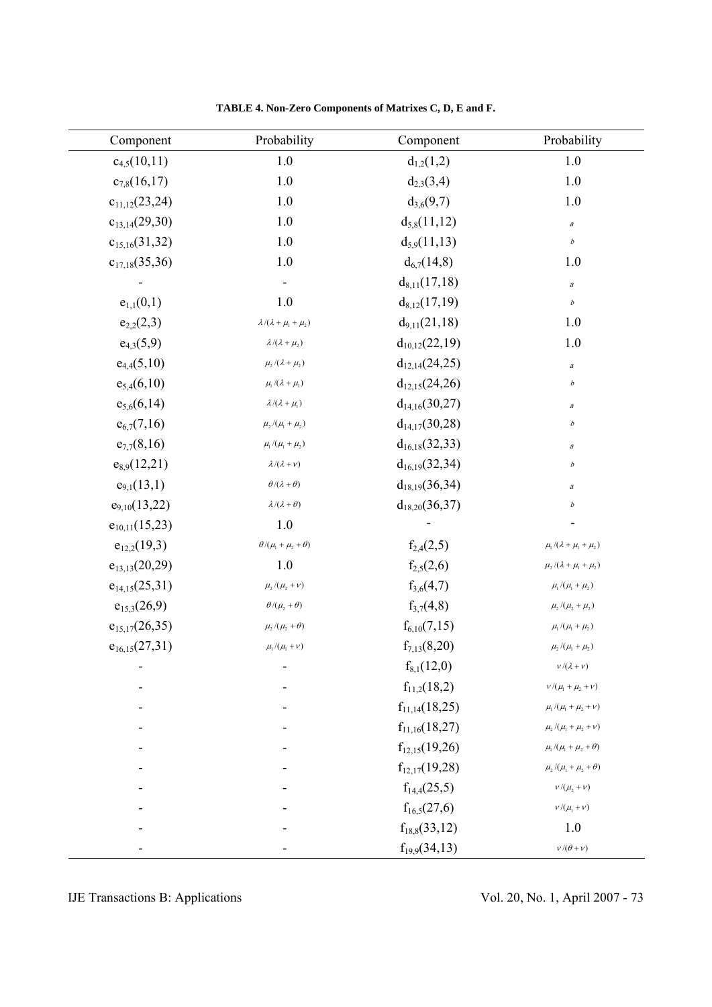| Component          | Probability                                                                          | Component          | Probability                                                                                        |
|--------------------|--------------------------------------------------------------------------------------|--------------------|----------------------------------------------------------------------------------------------------|
| $c_{4,5}(10,11)$   | 1.0                                                                                  | $d_{1,2}(1,2)$     | $1.0\,$                                                                                            |
| $c_{7,8}(16,17)$   | 1.0                                                                                  | $d_{2,3}(3,4)$     | $1.0\,$                                                                                            |
| $c_{11,12}(23,24)$ | 1.0                                                                                  | $d_{3,6}(9,7)$     | $1.0\,$                                                                                            |
| $c_{13,14}(29,30)$ | 1.0                                                                                  | $d_{5,8}(11,12)$   | $\it a$                                                                                            |
| $c_{15,16}(31,32)$ | 1.0                                                                                  | $d_{5,9}(11,13)$   | $\boldsymbol{b}$                                                                                   |
| $c_{17,18}(35,36)$ | 1.0                                                                                  | $d_{6,7}(14,8)$    | 1.0                                                                                                |
|                    |                                                                                      | $d_{8,11}(17,18)$  | $\boldsymbol{a}$                                                                                   |
| $e_{1,1}(0,1)$     | 1.0                                                                                  | $d_{8,12}(17,19)$  | $\boldsymbol{b}$                                                                                   |
| $e_{2,2}(2,3)$     | $\lambda/(\lambda+\mu_{\rm l}+\mu_{\rm 2})$                                          | $d_{9,11}(21,18)$  | 1.0                                                                                                |
| $e_{4,3}(5,9)$     | $\lambda/(\lambda+\mu_2)$                                                            | $d_{10,12}(22,19)$ | 1.0                                                                                                |
| $e_{4,4}(5,10)$    | $\mu_{\scriptscriptstyle 2}/(\lambda+\mu_{\scriptscriptstyle 2})$                    | $d_{12,14}(24,25)$ | $\it a$                                                                                            |
| $e_{5,4}(6,10)$    | $\mu_{\rm l}\,/(\lambda+\mu_{\rm l})$                                                | $d_{12,15}(24,26)$ | $\boldsymbol{b}$                                                                                   |
| $e_{5,6}(6,14)$    | $\lambda/(\lambda+\mu_1)$                                                            | $d_{14,16}(30,27)$ | $\boldsymbol{a}$                                                                                   |
| $e_{6,7}(7,16)$    | $\mu_{\scriptscriptstyle 2}/(\mu_{\scriptscriptstyle 1}+\mu_{\scriptscriptstyle 2})$ | $d_{14,17}(30,28)$ | $\boldsymbol{b}$                                                                                   |
| $e_{7,7}(8,16)$    | $\mu_{\text{\tiny{l}}} / (\mu_{\text{\tiny{l}}} + \mu_{\text{\tiny{2}}})$            | $d_{16,18}(32,33)$ | $\boldsymbol{a}$                                                                                   |
| $e_{8,9}(12,21)$   | $\lambda/(\lambda+\nu)$                                                              | $d_{16,19}(32,34)$ | $\boldsymbol{b}$                                                                                   |
| $e_{9,1}(13,1)$    | $\theta/(\lambda+\theta)$                                                            | $d_{18,19}(36,34)$ | $\boldsymbol{a}$                                                                                   |
| $e_{9,10}(13,22)$  | $\lambda/(\lambda+\theta)$                                                           | $d_{18,20}(36,37)$ | $\boldsymbol{b}$                                                                                   |
| $e_{10,11}(15,23)$ | 1.0                                                                                  |                    |                                                                                                    |
| $e_{12,2}(19,3)$   | $\theta/(\mu_{\!\scriptscriptstyle 1} + \mu_{\!\scriptscriptstyle 2} + \theta)$      | $f_{2,4}(2,5)$     | $\mu_{\text{\tiny{l}}} / (\lambda + \mu_{\text{\tiny{l}}} + \mu_{\text{\tiny{2}}})$                |
| $e_{13,13}(20,29)$ | 1.0                                                                                  | $f_{2,5}(2,6)$     | $\mu_{\scriptscriptstyle 2} / (\lambda + \mu_{\scriptscriptstyle 1} + \mu_{\scriptscriptstyle 2})$ |
| $e_{14,15}(25,31)$ | $\mu_{\scriptscriptstyle 2}/(\mu_{\scriptscriptstyle 2}+\nu)$                        | $f_{3,6}(4,7)$     | $\mu_{\text{\tiny{l}}} / (\mu_{\text{\tiny{l}}} + \mu_{\text{\tiny{2}}})$                          |
| $e_{15,3}(26,9)$   | $\theta/(\mu_{\scriptscriptstyle 2}+\theta)$                                         | $f_{3,7}(4,8)$     | $\mu_{\scriptscriptstyle 2}/(\mu_{\scriptscriptstyle 2}+\mu_{\scriptscriptstyle 2})$               |
| $e_{15,17}(26,35)$ | $\mu_{\scriptscriptstyle 2}/(\mu_{\scriptscriptstyle 2}+\theta)$                     | $f_{6,10}(7,15)$   | $\mu_{\rm l}\,/(\mu_{\rm l}+\mu_{\rm 2})$                                                          |
| $e_{16,15}(27,31)$ | $\mu_{\rm l}\,/(\mu_{\rm l}+\nu)$                                                    | $f_{7,13}(8,20)$   | $\mu_2 / (\mu_1 + \mu_2)$                                                                          |
|                    |                                                                                      | $f_{8,1}(12,0)$    | $\nu/(\lambda+\nu)$                                                                                |
|                    |                                                                                      | $f_{11,2}(18,2)$   | $\nu/(\mu_{\scriptscriptstyle\parallel}+\mu_{\scriptscriptstyle\perp}+\nu)$                        |
|                    |                                                                                      | $f_{11,14}(18,25)$ | $\mu_{\rm l}\,/(\mu_{\rm l}+\mu_{\rm 2}+\nu)$                                                      |
|                    |                                                                                      | $f_{11,16}(18,27)$ | $\mu_{\scriptscriptstyle 2}/(\mu_{\scriptscriptstyle 1}+\mu_{\scriptscriptstyle 2}+\nu)$           |
|                    |                                                                                      | $f_{12,15}(19,26)$ | $\mu_{\text{\tiny{l}}} / (\mu_{\text{\tiny{l}}} + \mu_{\text{\tiny{2}}} + \theta)$                 |
|                    |                                                                                      | $f_{12,17}(19,28)$ | $\mu_{\scriptscriptstyle 2}/(\mu_{\scriptscriptstyle 1}+\mu_{\scriptscriptstyle 2}+\theta)$        |
|                    |                                                                                      | $f_{14,4}(25,5)$   | $\nu/(\mu_{\scriptscriptstyle 2}+\nu)$                                                             |
|                    |                                                                                      | $f_{16,5}(27,6)$   | $\nu/(\mu_{\text{\tiny{l}}}+\nu)$                                                                  |
|                    |                                                                                      | $f_{18,8}(33,12)$  | $1.0\,$                                                                                            |
|                    |                                                                                      | $f_{19,9}(34,13)$  | $\nu/(\theta+\nu)$                                                                                 |

**TABLE 4. Non-Zero Components of Matrixes C, D, E and F.**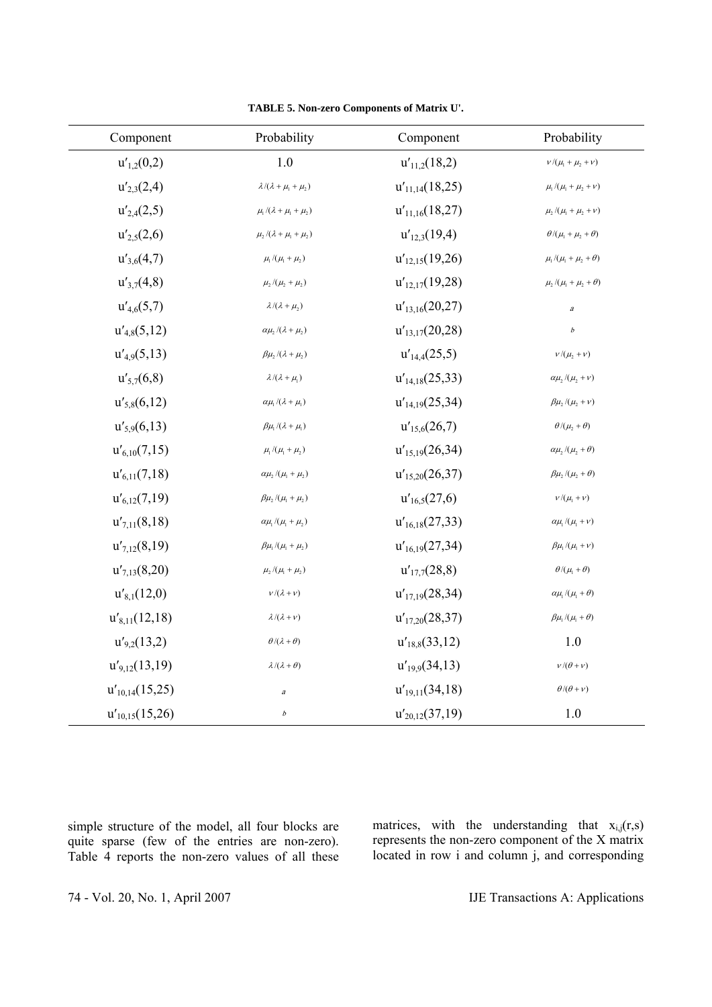| Component           | Probability                                                                                  | Component           | Probability                                                                                 |
|---------------------|----------------------------------------------------------------------------------------------|---------------------|---------------------------------------------------------------------------------------------|
| $u'_{1,2}(0,2)$     | $1.0\,$                                                                                      | $u'_{11,2}(18,2)$   | $\nu/(\mu_{\scriptscriptstyle\rm I}+\mu_{\scriptscriptstyle\rm 2}+\nu)$                     |
| $u'_{2,3}(2,4)$     | $\lambda/(\lambda+\mu_{\rm l}+\mu_{\rm 2})$                                                  | $u'_{11,14}(18,25)$ | $\mu_{\rm l}\,/(\mu_{\rm l}+\mu_{\rm 2}+\nu)$                                               |
| $u'_{2,4}(2,5)$     | $\mu_{\rm l}\,/(\lambda+\mu_{\rm l}+\mu_{\rm 2})$                                            | $u'_{11,16}(18,27)$ | $\mu_{\scriptscriptstyle 2}/(\mu_{\scriptscriptstyle 1}+\mu_{\scriptscriptstyle 2}+\nu)$    |
| $u'_{2,5}(2,6)$     | $\mu_{\scriptscriptstyle 2}/(\lambda+\mu_{\scriptscriptstyle 1}+\mu_{\scriptscriptstyle 2})$ | $u'_{12,3}(19,4)$   | $\theta/(\mu_{\!\scriptscriptstyle 1} + \mu_{\!\scriptscriptstyle 2} + \theta)$             |
| $u'_{3,6}(4,7)$     | $\mu_{\rm l}\, /(\mu_{\rm l}+\mu_{\rm 2})$                                                   | $u'_{12,15}(19,26)$ | $\mu_{\text{\tiny{l}}} \, / (\mu_{\text{\tiny{l}}} + \mu_{\text{\tiny{2}}} + \theta)$       |
| $u'_{3,7}(4,8)$     | $\mu_{\scriptscriptstyle 2}/(\mu_{\scriptscriptstyle 2}+\mu_{\scriptscriptstyle 2})$         | $u'_{12,17}(19,28)$ | $\mu_{\scriptscriptstyle 2}/(\mu_{\scriptscriptstyle 1}+\mu_{\scriptscriptstyle 2}+\theta)$ |
| $u'_{4,6}(5,7)$     | $\lambda/(\lambda+\mu_2)$                                                                    | $u'_{13,16}(20,27)$ | $\boldsymbol{a}$                                                                            |
| $u'_{4,8}(5,12)$    | $\alpha \mu_{\scriptscriptstyle 2} / (\lambda + \mu_{\scriptscriptstyle 2})$                 | $u'_{13,17}(20,28)$ | $\boldsymbol{b}$                                                                            |
| $u'_{4.9}(5,13)$    | $\beta\mu_{\scriptscriptstyle 2}/(\lambda+\mu_{\scriptscriptstyle 2})$                       | $u'_{14,4}(25,5)$   | $\nu/(\mu_{\scriptscriptstyle 2}+\nu)$                                                      |
| $u'_{5,7}(6,8)$     | $\lambda/(\lambda+\mu_{\rm l})$                                                              | $u'_{14,18}(25,33)$ | $\alpha \mu_{\scriptscriptstyle 2}/(\mu_{\scriptscriptstyle 2}+\nu)$                        |
| $u'_{5,8}(6,12)$    | $\alpha \mu_{\text{\tiny{l}}} / (\lambda + \mu_{\text{\tiny{l}}})$                           | $u'_{14,19}(25,34)$ | $\beta \mu_{\scriptscriptstyle 2} / (\mu_{\scriptscriptstyle 2} + v)$                       |
| $u'_{5,9}(6,13)$    | $\beta \mu_{\rm l} / (\lambda + \mu_{\rm l})$                                                | $u'_{15,6}(26,7)$   | $\theta/(\mu_{2}+\theta)$                                                                   |
| $u'_{6,10}(7,15)$   | $\mu_{\text{\tiny{l}}} / (\mu_{\text{\tiny{l}}} + \mu_{\text{\tiny{2}}})$                    | $u'_{15,19}(26,34)$ | $\alpha \mu_{\scriptscriptstyle 2}/(\mu_{\scriptscriptstyle 2}+\theta)$                     |
| $u'_{6,11}(7,18)$   | $\alpha \mu_{\scriptscriptstyle 2}/(\mu_{\scriptscriptstyle 1}+\mu_{\scriptscriptstyle 2})$  | $u'_{15,20}(26,37)$ | $\beta\mu_{\scriptscriptstyle 2}/(\mu_{\scriptscriptstyle 2}+\theta)$                       |
| $u'_{6,12}(7,19)$   | $\beta\mu_{\scriptscriptstyle 2}/(\mu_{\scriptscriptstyle 1}+\mu_{\scriptscriptstyle 2})$    | $u'_{16,5}(27,6)$   | $\nu/(\mu_{\rm l}+\nu)$                                                                     |
| $u'_{7,11}(8,18)$   | $\alpha\mu_{\rm l}\,/(\mu_{\rm l}+\mu_{\rm 2})$                                              | $u'_{16,18}(27,33)$ | $\alpha \mu_{\text{\tiny{l}}} / (\mu_{\text{\tiny{l}}} + \nu)$                              |
| $u'_{7,12}(8,19)$   | $\beta\mu_{\rm l}/(\mu_{\rm l}+\mu_{\rm 2})$                                                 | $u'_{16,19}(27,34)$ | $\beta\mu_{\rm l}/(\mu_{\rm l}+\nu)$                                                        |
| $u'_{7,13}(8,20)$   | $\mu_{\scriptscriptstyle 2}/(\mu_{\scriptscriptstyle 1}+\mu_{\scriptscriptstyle 2})$         | $u'_{17,7}(28,8)$   | $\theta/(\mu_1+\theta)$                                                                     |
| $u'_{8,1}(12,0)$    | $\nu/(\lambda+\nu)$                                                                          | $u'_{17,19}(28,34)$ | $\alpha \mu_{\text{\tiny{l}}} / (\mu_{\text{\tiny{l}}} + \theta)$                           |
| $u'_{8,11}(12,18)$  | $\lambda/(\lambda+\nu)$                                                                      | $u'_{17,20}(28,37)$ | $\beta\mu_{\rm l}\,/(\mu_{\rm l}+\theta)$                                                   |
| $u'_{9,2}(13,2)$    | $\theta/(\lambda+\theta)$                                                                    | $u'_{18,8}(33,12)$  | 1.0                                                                                         |
| $u'_{9,12}(13,19)$  | $\lambda/(\lambda+\theta)$                                                                   | $u'_{19,9}(34,13)$  | $v/(\theta + v)$                                                                            |
| $u'_{10,14}(15,25)$ | $\it a$                                                                                      | $u'_{19,11}(34,18)$ | $\theta/(\theta+\nu)$                                                                       |
| $u'_{10,15}(15,26)$ | $\boldsymbol{b}$                                                                             | $u'_{20,12}(37,19)$ | 1.0                                                                                         |

**TABLE 5. Non-zero Components of Matrix U'.** 

simple structure of the model, all four blocks are quite sparse (few of the entries are non-zero). Table 4 reports the non-zero values of all these matrices, with the understanding that  $x_{i,j}(r,s)$ represents the non-zero component of the X matrix located in row i and column j, and corresponding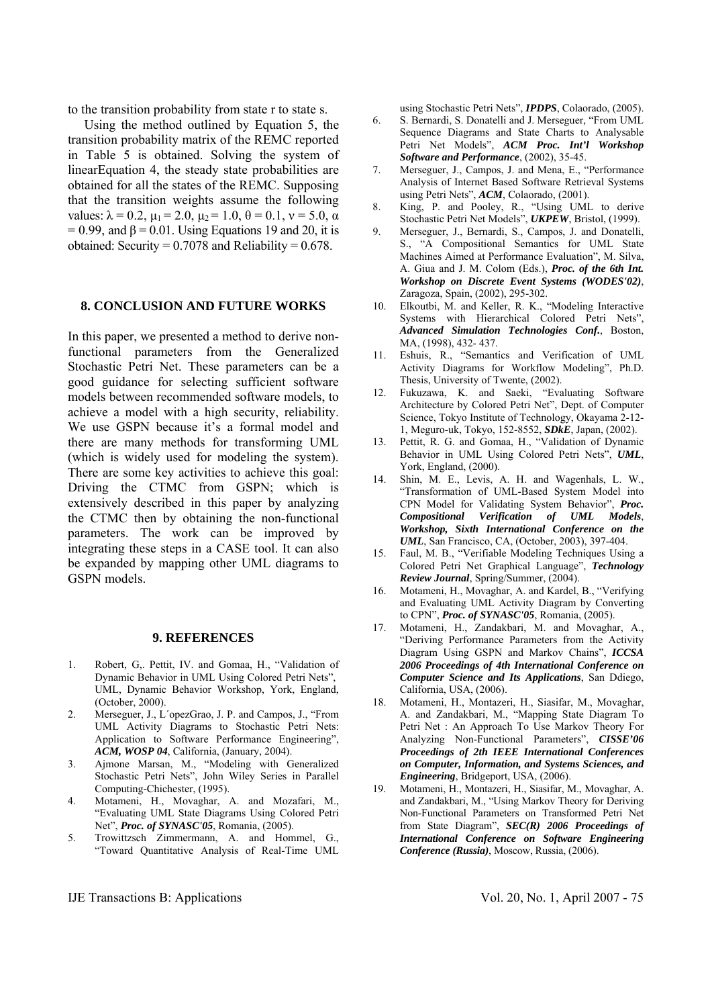to the transition probability from state r to state s.

 Using the method outlined by Equation 5, the transition probability matrix of the REMC reported in Table 5 is obtained. Solving the system of linearEquation 4, the steady state probabilities are obtained for all the states of the REMC. Supposing that the transition weights assume the following values:  $\lambda = 0.2$ ,  $\mu_1 = 2.0$ ,  $\mu_2 = 1.0$ ,  $\theta = 0.1$ ,  $v = 5.0$ ,  $\alpha$  $= 0.99$ , and  $\beta = 0.01$ . Using Equations 19 and 20, it is obtained: Security =  $0.7078$  and Reliability =  $0.678$ .

## **8. CONCLUSION AND FUTURE WORKS**

In this paper, we presented a method to derive nonfunctional parameters from the Generalized Stochastic Petri Net. These parameters can be a good guidance for selecting sufficient software models between recommended software models, to achieve a model with a high security, reliability. We use GSPN because it's a formal model and there are many methods for transforming UML (which is widely used for modeling the system). There are some key activities to achieve this goal: Driving the CTMC from GSPN; which is extensively described in this paper by analyzing the CTMC then by obtaining the non-functional parameters. The work can be improved by integrating these steps in a CASE tool. It can also be expanded by mapping other UML diagrams to GSPN models.

## **9. REFERENCES**

- 1. Robert, G,. Pettit, IV. and Gomaa, H., "Validation of Dynamic Behavior in UML Using Colored Petri Nets", UML, Dynamic Behavior Workshop, York, England, (October, 2000).
- 2. Merseguer, J., L´opezGrao, J. P. and Campos, J., "From UML Activity Diagrams to Stochastic Petri Nets: Application to Software Performance Engineering", *ACM, WOSP 04*, California, (January, 2004).
- 3. Ajmone Marsan, M., "Modeling with Generalized Stochastic Petri Nets", John Wiley Series in Parallel Computing-Chichester, (1995).
- 4. Motameni, H., Movaghar, A. and Mozafari, M., "Evaluating UML State Diagrams Using Colored Petri Net", *Proc. of SYNASC'05*, Romania, (2005).
- 5. Trowittzsch Zimmermann, A. and Hommel, G., "Toward Quantitative Analysis of Real-Time UML

using Stochastic Petri Nets", *IPDPS*, Colaorado, (2005).

- 6. S. Bernardi, S. Donatelli and J. Merseguer, "From UML Sequence Diagrams and State Charts to Analysable Petri Net Models", *ACM Proc. Int'l Workshop Software and Performance*, (2002), 35-45.
- 7. Merseguer, J., Campos, J. and Mena, E., "Performance Analysis of Internet Based Software Retrieval Systems using Petri Nets", *ACM*, Colaorado, (2001).
- 8. King, P. and Pooley, R., "Using UML to derive Stochastic Petri Net Models", *UKPEW*, Bristol, (1999).
- 9. Merseguer, J., Bernardi, S., Campos, J. and Donatelli, S., "A Compositional Semantics for UML State Machines Aimed at Performance Evaluation", M. Silva, A. Giua and J. M. Colom (Eds.), *Proc. of the 6th Int. Workshop on Discrete Event Systems (WODES'02)*, Zaragoza, Spain, (2002), 295-302.
- 10. Elkoutbi, M. and Keller, R. K., "Modeling Interactive Systems with Hierarchical Colored Petri Nets", *Advanced Simulation Technologies Conf.*, Boston, MA, (1998), 432- 437.
- 11. Eshuis, R., "Semantics and Verification of UML Activity Diagrams for Workflow Modeling", Ph.D. Thesis, University of Twente, (2002).
- 12. Fukuzawa, K. and Saeki, "Evaluating Software Architecture by Colored Petri Net", Dept. of Computer Science, Tokyo Institute of Technology, Okayama 2-12- 1, Meguro-uk, Tokyo, 152-8552, *SDkE*, Japan, (2002).
- 13. Pettit, R. G. and Gomaa, H., "Validation of Dynamic Behavior in UML Using Colored Petri Nets", *UML*, York, England, (2000).
- 14. Shin, M. E., Levis, A. H. and Wagenhals, L. W., "Transformation of UML-Based System Model into CPN Model for Validating System Behavior", *Proc. Compositional Verification of UML Models*, *Workshop, Sixth International Conference on the UML*, San Francisco, CA, (October, 2003), 397-404.
- 15. Faul, M. B., "Verifiable Modeling Techniques Using a Colored Petri Net Graphical Language", *Technology Review Journal*, Spring/Summer, (2004).
- 16. Motameni, H., Movaghar, A. and Kardel, B., "Verifying and Evaluating UML Activity Diagram by Converting to CPN", *Proc. of SYNASC'05*, Romania, (2005).
- 17. Motameni, H., Zandakbari, M. and Movaghar, A., "Deriving Performance Parameters from the Activity Diagram Using GSPN and Markov Chains", *ICCSA 2006 Proceedings of 4th International Conference on Computer Science and Its Applications*, San Ddiego, California, USA, (2006).
- 18. Motameni, H., Montazeri, H., Siasifar, M., Movaghar, A. and Zandakbari, M., "Mapping State Diagram To Petri Net : An Approach To Use Markov Theory For Analyzing Non-Functional Parameters", *CISSE'06 Proceedings of 2th IEEE International Conferences on Computer, Information, and Systems Sciences, and Engineering*, Bridgeport, USA, (2006).
- 19. Motameni, H., Montazeri, H., Siasifar, M., Movaghar, A. and Zandakbari, M., "Using Markov Theory for Deriving Non-Functional Parameters on Transformed Petri Net from State Diagram", *SEC(R) 2006 Proceedings of International Conference on Software Engineering Conference (Russia)*, Moscow, Russia, (2006).

IJE Transactions B: Applications Vol. 20, No. 1, April 2007 - 75